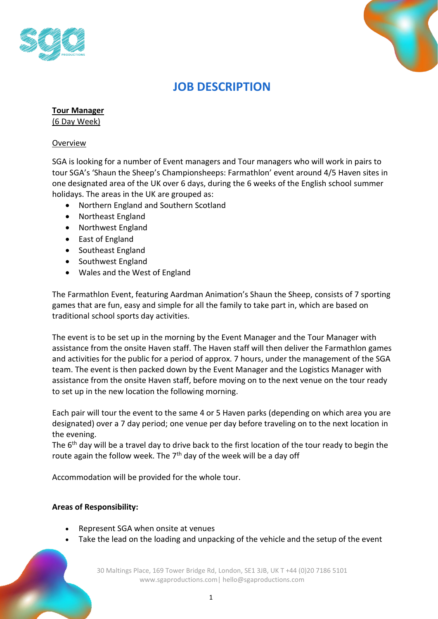



# **JOB DESCRIPTION**

**Tour Manager**

(6 Day Week)

#### Overview

SGA is looking for a number of Event managers and Tour managers who will work in pairs to tour SGA's 'Shaun the Sheep's Championsheeps: Farmathlon' event around 4/5 Haven sites in one designated area of the UK over 6 days, during the 6 weeks of the English school summer holidays. The areas in the UK are grouped as:

- Northern England and Southern Scotland
- Northeast England
- Northwest England
- East of England
- Southeast England
- Southwest England
- Wales and the West of England

The Farmathlon Event, featuring Aardman Animation's Shaun the Sheep, consists of 7 sporting games that are fun, easy and simple for all the family to take part in, which are based on traditional school sports day activities.

The event is to be set up in the morning by the Event Manager and the Tour Manager with assistance from the onsite Haven staff. The Haven staff will then deliver the Farmathlon games and activities for the public for a period of approx. 7 hours, under the management of the SGA team. The event is then packed down by the Event Manager and the Logistics Manager with assistance from the onsite Haven staff, before moving on to the next venue on the tour ready to set up in the new location the following morning.

Each pair will tour the event to the same 4 or 5 Haven parks (depending on which area you are designated) over a 7 day period; one venue per day before traveling on to the next location in the evening.

The 6<sup>th</sup> day will be a travel day to drive back to the first location of the tour ready to begin the route again the follow week. The  $7<sup>th</sup>$  day of the week will be a day off

Accommodation will be provided for the whole tour.

#### **Areas of Responsibility:**

- Represent SGA when onsite at venues
- Take the lead on the loading and unpacking of the vehicle and the setup of the event

30 Maltings Place, 169 Tower Bridge Rd, London, SE1 3JB, UK T +44 (0)20 7186 5101 www.sgaproductions.com| hello@sgaproductions.com